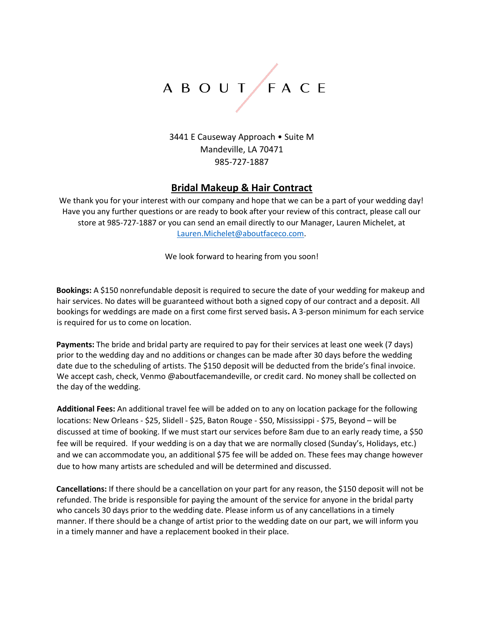# A B O U T / F A C E

3441 E Causeway Approach • Suite M Mandeville, LA 70471 985-727-1887

## **Bridal Makeup & Hair Contract**

We thank you for your interest with our company and hope that we can be a part of your wedding day! Have you any further questions or are ready to book after your review of this contract, please call our store at 985-727-1887 or you can send an email directly to our Manager, Lauren Michelet, at Lauren.Michelet@aboutfaceco.com.

We look forward to hearing from you soon!

**Bookings:** A \$150 nonrefundable deposit is required to secure the date of your wedding for makeup and hair services. No dates will be guaranteed without both a signed copy of our contract and a deposit. All bookings for weddings are made on a first come first served basis**.** A 3-person minimum for each service is required for us to come on location.

**Payments:** The bride and bridal party are required to pay for their services at least one week (7 days) prior to the wedding day and no additions or changes can be made after 30 days before the wedding date due to the scheduling of artists. The \$150 deposit will be deducted from the bride's final invoice. We accept cash, check, Venmo @aboutfacemandeville, or credit card. No money shall be collected on the day of the wedding.

**Additional Fees:** An additional travel fee will be added on to any on location package for the following locations: New Orleans - \$25, Slidell - \$25, Baton Rouge - \$50, Mississippi - \$75, Beyond – will be discussed at time of booking. If we must start our services before 8am due to an early ready time, a \$50 fee will be required. If your wedding is on a day that we are normally closed (Sunday's, Holidays, etc.) and we can accommodate you, an additional \$75 fee will be added on. These fees may change however due to how many artists are scheduled and will be determined and discussed.

**Cancellations:** If there should be a cancellation on your part for any reason, the \$150 deposit will not be refunded. The bride is responsible for paying the amount of the service for anyone in the bridal party who cancels 30 days prior to the wedding date. Please inform us of any cancellations in a timely manner. If there should be a change of artist prior to the wedding date on our part, we will inform you in a timely manner and have a replacement booked in their place.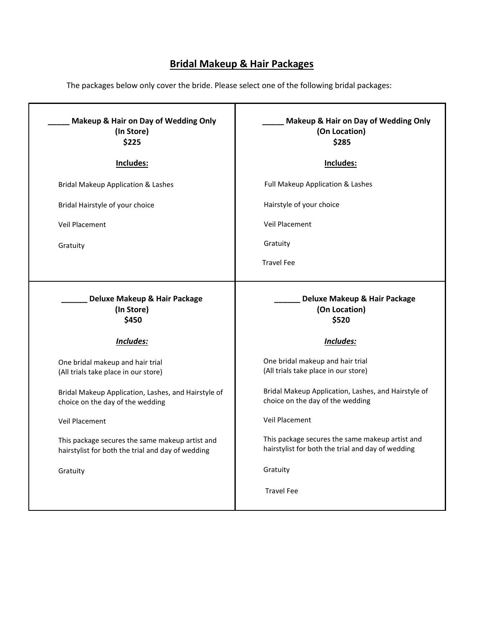## **Bridal Makeup & Hair Packages**

The packages below only cover the bride. Please select one of the following bridal packages:

| Makeup & Hair on Day of Wedding Only<br>(In Store)<br>\$225                                          | Makeup & Hair on Day of Wedding Only<br>(On Location)<br>\$285                                       |
|------------------------------------------------------------------------------------------------------|------------------------------------------------------------------------------------------------------|
| Includes:                                                                                            | Includes:                                                                                            |
| <b>Bridal Makeup Application &amp; Lashes</b>                                                        | Full Makeup Application & Lashes                                                                     |
| Bridal Hairstyle of your choice                                                                      | Hairstyle of your choice                                                                             |
| <b>Veil Placement</b>                                                                                | <b>Veil Placement</b>                                                                                |
| Gratuity                                                                                             | Gratuity                                                                                             |
|                                                                                                      | <b>Travel Fee</b>                                                                                    |
| Deluxe Makeup & Hair Package<br>(In Store)<br>\$450                                                  | Deluxe Makeup & Hair Package<br>(On Location)<br>\$520                                               |
| Includes:                                                                                            | Includes:                                                                                            |
| One bridal makeup and hair trial<br>(All trials take place in our store)                             | One bridal makeup and hair trial<br>(All trials take place in our store)                             |
| Bridal Makeup Application, Lashes, and Hairstyle of<br>choice on the day of the wedding              | Bridal Makeup Application, Lashes, and Hairstyle of<br>choice on the day of the wedding              |
| <b>Veil Placement</b>                                                                                | Veil Placement                                                                                       |
| This package secures the same makeup artist and<br>hairstylist for both the trial and day of wedding | This package secures the same makeup artist and<br>hairstylist for both the trial and day of wedding |
| Gratuity                                                                                             | Gratuity                                                                                             |
|                                                                                                      | <b>Travel Fee</b>                                                                                    |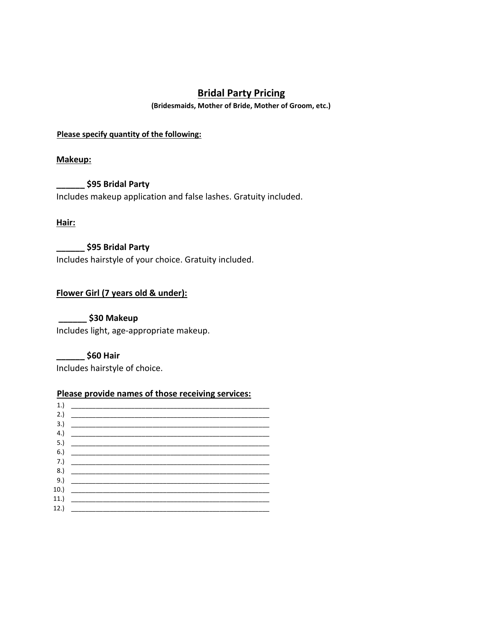## **Bridal Party Pricing**

**(Bridesmaids, Mother of Bride, Mother of Groom, etc.)**

**Please specify quantity of the following:**

**Makeup:**

**\_\_\_\_\_\_ \$95 Bridal Party**  Includes makeup application and false lashes. Gratuity included.

**Hair:**

**\_\_\_\_\_\_ \$95 Bridal Party** Includes hairstyle of your choice. Gratuity included.

### **Flower Girl (7 years old & under):**

**\_\_\_\_\_\_ \$30 Makeup**  Includes light, age-appropriate makeup.

**\_\_\_\_\_\_ \$60 Hair** Includes hairstyle of choice.

#### **Please provide names of those receiving services:**